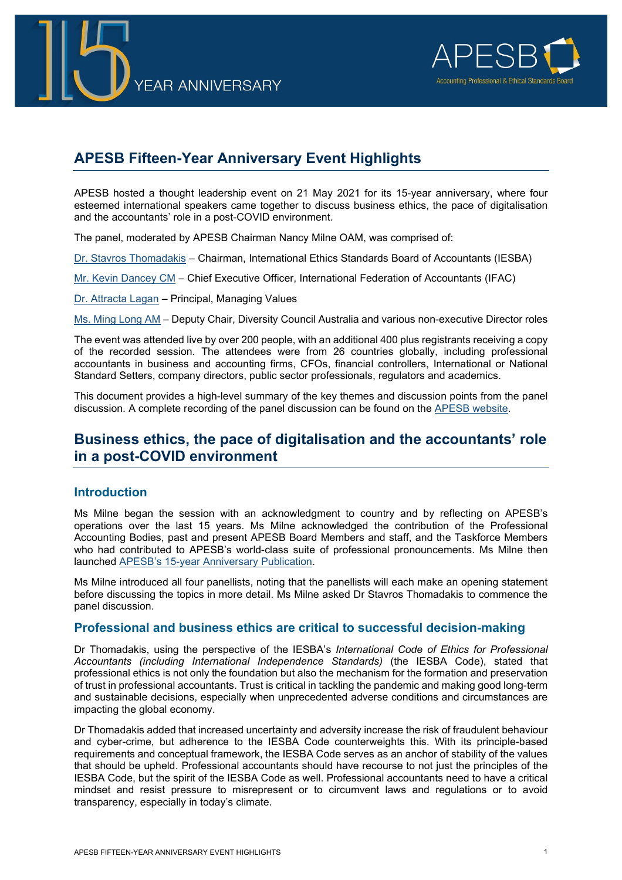



# **APESB Fifteen-Year Anniversary Event Highlights**

APESB hosted a thought leadership event on 21 May 2021 for its 15-year anniversary, where four esteemed international speakers came together to discuss business ethics, the pace of digitalisation and the accountants' role in a post-COVID environment.

The panel, moderated by APESB Chairman Nancy Milne OAM, was comprised of:

[Dr. Stavros Thomadakis](https://www.ifac.org/bio/stavros-thomadakis) – Chairman, International Ethics Standards Board of Accountants (IESBA)

[Mr. Kevin Dancey CM](https://www.ifac.org/who-we-are/leadership/kevin-dancey) – Chief Executive Officer, International Federation of Accountants (IFAC)

[Dr. Attracta Lagan](https://values.com.au/people/dr-attracta-lagan/) – Principal, Managing Values

[Ms. Ming Long AM](https://www.dca.org.au/about-dca/our-board#ming-long-nbsp-) – Deputy Chair, Diversity Council Australia and various non-executive Director roles

The event was attended live by over 200 people, with an additional 400 plus registrants receiving a copy of the recorded session. The attendees were from 26 countries globally, including professional accountants in business and accounting firms, CFOs, financial controllers, International or National Standard Setters, company directors, public sector professionals, regulators and academics.

This document provides a high-level summary of the key themes and discussion points from the panel discussion. A complete recording of the panel discussion can be found on the [APESB website.](https://apesb.org.au/wp-content/uploads/2021/07/20210521_APESB_1800_edited.mp4)

# **Business ethics, the pace of digitalisation and the accountants' role in a post-COVID environment**

## **Introduction**

Ms Milne began the session with an acknowledgment to country and by reflecting on APESB's operations over the last 15 years. Ms Milne acknowledged the contribution of the Professional Accounting Bodies, past and present APESB Board Members and staff, and the Taskforce Members who had contributed to APESB's world-class suite of professional pronouncements. Ms Milne then launched [APESB's 15-year Anniversary Publication.](http://apesb.org.au/wp-content/uploads/2021/06/APESB_15_Year_Anniversary_May_2021.pdf)

Ms Milne introduced all four panellists, noting that the panellists will each make an opening statement before discussing the topics in more detail. Ms Milne asked Dr Stavros Thomadakis to commence the panel discussion.

#### **Professional and business ethics are critical to successful decision-making**

Dr Thomadakis, using the perspective of the IESBA's *International Code of Ethics for Professional Accountants (including International Independence Standards)* (the IESBA Code), stated that professional ethics is not only the foundation but also the mechanism for the formation and preservation of trust in professional accountants. Trust is critical in tackling the pandemic and making good long-term and sustainable decisions, especially when unprecedented adverse conditions and circumstances are impacting the global economy.

Dr Thomadakis added that increased uncertainty and adversity increase the risk of fraudulent behaviour and cyber-crime, but adherence to the IESBA Code counterweights this. With its principle-based requirements and conceptual framework, the IESBA Code serves as an anchor of stability of the values that should be upheld. Professional accountants should have recourse to not just the principles of the IESBA Code, but the spirit of the IESBA Code as well. Professional accountants need to have a critical mindset and resist pressure to misrepresent or to circumvent laws and regulations or to avoid transparency, especially in today's climate.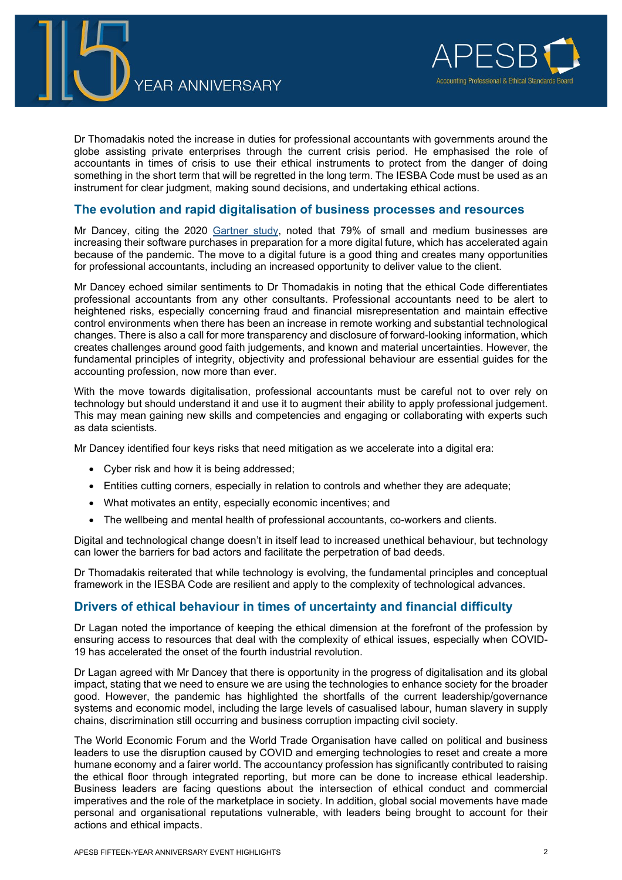



Dr Thomadakis noted the increase in duties for professional accountants with governments around the globe assisting private enterprises through the current crisis period. He emphasised the role of accountants in times of crisis to use their ethical instruments to protect from the danger of doing something in the short term that will be regretted in the long term. The IESBA Code must be used as an instrument for clear judgment, making sound decisions, and undertaking ethical actions.

### **The evolution and rapid digitalisation of business processes and resources**

Mr Dancey, citing the 2020 [Gartner study,](https://www.computerworld.com/article/3562701/australian-small-businesses-advance-their-digitalisation-thanks-to-covid-19.html) noted that 79% of small and medium businesses are increasing their software purchases in preparation for a more digital future, which has accelerated again because of the pandemic. The move to a digital future is a good thing and creates many opportunities for professional accountants, including an increased opportunity to deliver value to the client.

Mr Dancey echoed similar sentiments to Dr Thomadakis in noting that the ethical Code differentiates professional accountants from any other consultants. Professional accountants need to be alert to heightened risks, especially concerning fraud and financial misrepresentation and maintain effective control environments when there has been an increase in remote working and substantial technological changes. There is also a call for more transparency and disclosure of forward-looking information, which creates challenges around good faith judgements, and known and material uncertainties. However, the fundamental principles of integrity, objectivity and professional behaviour are essential guides for the accounting profession, now more than ever.

With the move towards digitalisation, professional accountants must be careful not to over rely on technology but should understand it and use it to augment their ability to apply professional judgement. This may mean gaining new skills and competencies and engaging or collaborating with experts such as data scientists.

Mr Dancey identified four keys risks that need mitigation as we accelerate into a digital era:

- Cyber risk and how it is being addressed;
- Entities cutting corners, especially in relation to controls and whether they are adequate;
- What motivates an entity, especially economic incentives; and
- The wellbeing and mental health of professional accountants, co-workers and clients.

Digital and technological change doesn't in itself lead to increased unethical behaviour, but technology can lower the barriers for bad actors and facilitate the perpetration of bad deeds.

Dr Thomadakis reiterated that while technology is evolving, the fundamental principles and conceptual framework in the IESBA Code are resilient and apply to the complexity of technological advances.

#### **Drivers of ethical behaviour in times of uncertainty and financial difficulty**

Dr Lagan noted the importance of keeping the ethical dimension at the forefront of the profession by ensuring access to resources that deal with the complexity of ethical issues, especially when COVID-19 has accelerated the onset of the fourth industrial revolution.

Dr Lagan agreed with Mr Dancey that there is opportunity in the progress of digitalisation and its global impact, stating that we need to ensure we are using the technologies to enhance society for the broader good. However, the pandemic has highlighted the shortfalls of the current leadership/governance systems and economic model, including the large levels of casualised labour, human slavery in supply chains, discrimination still occurring and business corruption impacting civil society.

The World Economic Forum and the World Trade Organisation have called on political and business leaders to use the disruption caused by COVID and emerging technologies to reset and create a more humane economy and a fairer world. The accountancy profession has significantly contributed to raising the ethical floor through integrated reporting, but more can be done to increase ethical leadership. Business leaders are facing questions about the intersection of ethical conduct and commercial imperatives and the role of the marketplace in society. In addition, global social movements have made personal and organisational reputations vulnerable, with leaders being brought to account for their actions and ethical impacts.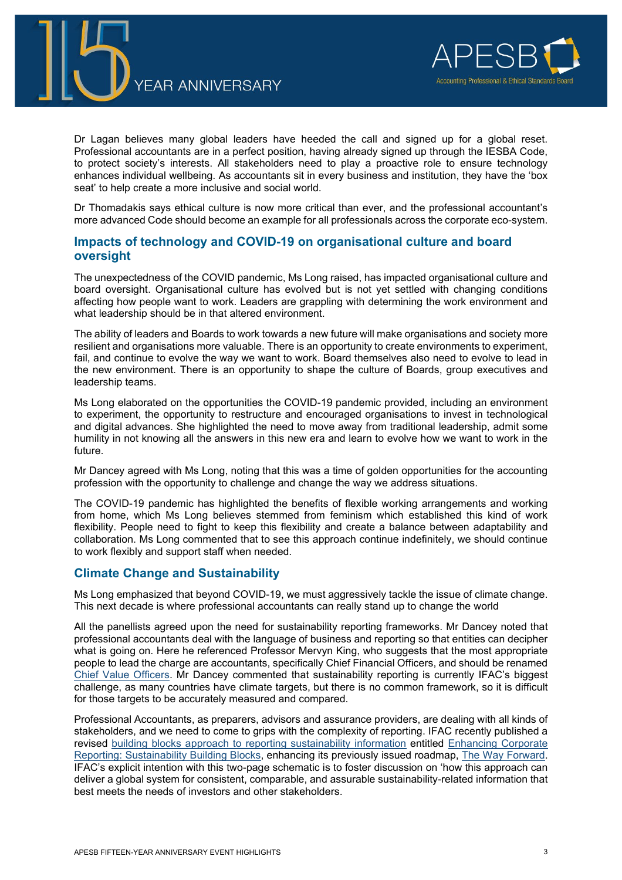



Dr Lagan believes many global leaders have heeded the call and signed up for a global reset. Professional accountants are in a perfect position, having already signed up through the IESBA Code, to protect society's interests. All stakeholders need to play a proactive role to ensure technology enhances individual wellbeing. As accountants sit in every business and institution, they have the 'box seat' to help create a more inclusive and social world.

Dr Thomadakis says ethical culture is now more critical than ever, and the professional accountant's more advanced Code should become an example for all professionals across the corporate eco-system.

## **Impacts of technology and COVID-19 on organisational culture and board oversight**

The unexpectedness of the COVID pandemic, Ms Long raised, has impacted organisational culture and board oversight. Organisational culture has evolved but is not yet settled with changing conditions affecting how people want to work. Leaders are grappling with determining the work environment and what leadership should be in that altered environment.

The ability of leaders and Boards to work towards a new future will make organisations and society more resilient and organisations more valuable. There is an opportunity to create environments to experiment, fail, and continue to evolve the way we want to work. Board themselves also need to evolve to lead in the new environment. There is an opportunity to shape the culture of Boards, group executives and leadership teams.

Ms Long elaborated on the opportunities the COVID-19 pandemic provided, including an environment to experiment, the opportunity to restructure and encouraged organisations to invest in technological and digital advances. She highlighted the need to move away from traditional leadership, admit some humility in not knowing all the answers in this new era and learn to evolve how we want to work in the future.

Mr Dancey agreed with Ms Long, noting that this was a time of golden opportunities for the accounting profession with the opportunity to challenge and change the way we address situations.

The COVID-19 pandemic has highlighted the benefits of flexible working arrangements and working from home, which Ms Long believes stemmed from feminism which established this kind of work flexibility. People need to fight to keep this flexibility and create a balance between adaptability and collaboration. Ms Long commented that to see this approach continue indefinitely, we should continue to work flexibly and support staff when needed.

## **Climate Change and Sustainability**

Ms Long emphasized that beyond COVID-19, we must aggressively tackle the issue of climate change. This next decade is where professional accountants can really stand up to change the world

All the panellists agreed upon the need for sustainability reporting frameworks. Mr Dancey noted that professional accountants deal with the language of business and reporting so that entities can decipher what is going on. Here he referenced Professor Mervyn King, who suggests that the most appropriate people to lead the charge are accountants, specifically Chief Financial Officers, and should be renamed [Chief Value Officers.](https://wordery.com/the-chief-value-officer-mervyn-king-9781783532933?cTrk=NTg2NDk4NTZ8NTk5NDM4MjBhZDJkNzoxOjE6NTk5NDM4MTEzOGNjODguNzA4Njk0NjY6MGZmYWQ4OTg%3D) Mr Dancey commented that sustainability reporting is currently IFAC's biggest challenge, as many countries have climate targets, but there is no common framework, so it is difficult for those targets to be accurately measured and compared.

Professional Accountants, as preparers, advisors and assurance providers, are dealing with all kinds of stakeholders, and we need to come to grips with the complexity of reporting. IFAC recently published a revised [building blocks approach to reporting sustainability information](https://www.ifac.org/knowledge-gateway/contributing-global-economy/publications/enhancing-corporate-reporting-sustainability-building-blocks) entitled [Enhancing Corporate](https://www.ifac.org/knowledge-gateway/contributing-global-economy/publications/enhancing-corporate-reporting-sustainability-building-blocks)  [Reporting: Sustainability Building Blocks,](https://www.ifac.org/knowledge-gateway/contributing-global-economy/publications/enhancing-corporate-reporting-sustainability-building-blocks) enhancing its previously issued roadmap, [The Way Forward.](https://www.ifac.org/knowledge-gateway/contributing-global-economy/discussion/enhancing-corporate-reporting-way-forward) IFAC's explicit intention with this two-page schematic is to foster discussion on 'how this approach can deliver a global system for consistent, comparable, and assurable sustainability-related information that best meets the needs of investors and other stakeholders.